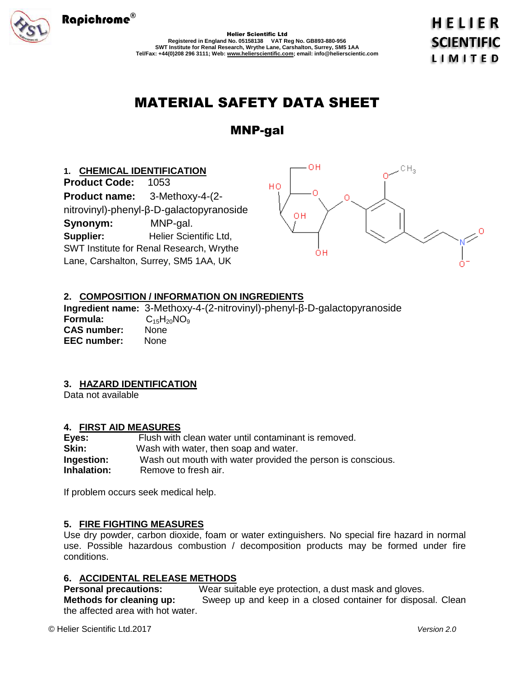

Helier Scientific Ltd **Registered in England No. 05158138 VAT Reg No. GB893-880-956 SWT Institute for Renal Research, Wrythe Lane, Carshalton, Surrey, SM5 1AA Tel/Fax: +44(0)208 296 3111; Web: www.helierscientific.com; email: info@helierscientic.com**  HELIER **SCIENTIFIC LIMITED** 

# MATERIAL SAFETY DATA SHEET

MNP-gal

# **1. CHEMICAL IDENTIFICATION**

**Product Code:** 1053 **Product name:** 3-Methoxy-4-(2 nitrovinyl)-phenyl-β-D-galactopyranoside **Synonym:** MNP-gal. **Supplier:** Helier Scientific Ltd, SWT Institute for Renal Research, Wrythe Lane, Carshalton, Surrey, SM5 1AA, UK



# **2. COMPOSITION / INFORMATION ON INGREDIENTS**

**Ingredient name:** 3-Methoxy-4-(2-nitrovinyl)-phenyl-β-D-galactopyranoside **Formula:** C<sub>15</sub>H<sub>20</sub>NO<sub>9</sub><br>**CAS number:** None **CAS number: EEC number:** None

# **3. HAZARD IDENTIFICATION**

Data not available

# **4. FIRST AID MEASURES**

| Eyes:              | Flush with clean water until contaminant is removed.        |
|--------------------|-------------------------------------------------------------|
| Skin:              | Wash with water, then soap and water.                       |
| Ingestion:         | Wash out mouth with water provided the person is conscious. |
| <b>Inhalation:</b> | Remove to fresh air.                                        |

If problem occurs seek medical help.

# **5. FIRE FIGHTING MEASURES**

Use dry powder, carbon dioxide, foam or water extinguishers. No special fire hazard in normal use. Possible hazardous combustion / decomposition products may be formed under fire conditions.

# **6. ACCIDENTAL RELEASE METHODS**

**Personal precautions:** Wear suitable eye protection, a dust mask and gloves. **Methods for cleaning up:** Sweep up and keep in a closed container for disposal. Clean the affected area with hot water.